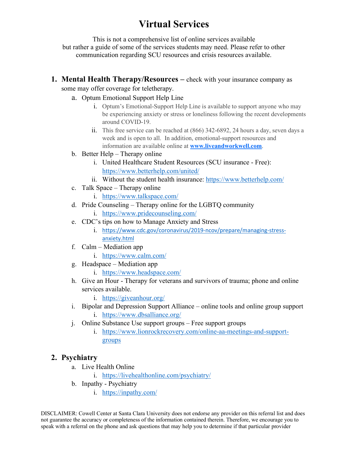# **Virtual Services**

This is not a comprehensive list of online services available but rather a guide of some of the services students may need. Please refer to other communication regarding SCU resources and crisis resources available.

**1. Mental Health Therapy/Resources –** check with your insurance company as

some may offer coverage for teletherapy.

- a. Optum Emotional Support Help Line
	- i. Optum's Emotional-Support Help Line is available to support anyone who may be experiencing anxiety or stress or loneliness following the recent developments around COVID-19.
	- ii. This free service can be reached at (866) 342-6892, 24 hours a day, seven days a week and is open to all. In addition, emotional-support resources and information are available online at **www.liveandworkwell.com**.
- b. Better Help Therapy online
	- i. United Healthcare Student Resources (SCU insurance Free): https://www.betterhelp.com/united/
	- ii. Without the student health insurance: https://www.betterhelp.com/
- c. Talk Space Therapy online
	- i. https://www.talkspace.com/
- d. Pride Counseling Therapy online for the LGBTQ community
	- i. https://www.pridecounseling.com/
- e. CDC's tips on how to Manage Anxiety and Stress
	- i. https://www.cdc.gov/coronavirus/2019-ncov/prepare/managing-stressanxiety.html
- f. Calm Mediation app
	- i. https://www.calm.com/
- g. Headspace Mediation app
	- i. https://www.headspace.com/
- h. Give an Hour Therapy for veterans and survivors of trauma; phone and online services available.
	- i. https://giveanhour.org/
- i. Bipolar and Depression Support Alliance online tools and online group support
	- i. https://www.dbsalliance.org/
- j. Online Substance Use support groups Free support groups
	- i. https://www.lionrockrecovery.com/online-aa-meetings-and-supportgroups

# **2. Psychiatry**

- a. Live Health Online
	- i. https://livehealthonline.com/psychiatry/
- b. Inpathy Psychiatry
	- i. https://inpathy.com/

DISCLAIMER: Cowell Center at Santa Clara University does not endorse any provider on this referral list and does not guarantee the accuracy or completeness of the information contained therein. Therefore, we encourage you to speak with a referral on the phone and ask questions that may help you to determine if that particular provider